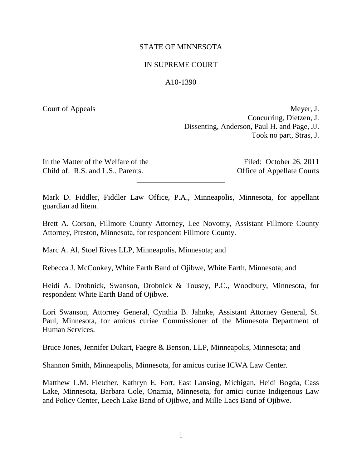# STATE OF MINNESOTA

## IN SUPREME COURT

## A10-1390

Court of Appeals Meyer, J. Concurring, Dietzen, J. Dissenting, Anderson, Paul H. and Page, JJ. Took no part, Stras, J.

In the Matter of the Welfare of the Filed: October 26, 2011 Child of: R.S. and L.S., Parents. Office of Appellate Courts

Mark D. Fiddler, Fiddler Law Office, P.A., Minneapolis, Minnesota, for appellant guardian ad litem.

\_\_\_\_\_\_\_\_\_\_\_\_\_\_\_\_\_\_\_\_\_\_\_

Brett A. Corson, Fillmore County Attorney, Lee Novotny, Assistant Fillmore County Attorney, Preston, Minnesota, for respondent Fillmore County.

Marc A. Al, Stoel Rives LLP, Minneapolis, Minnesota; and

Rebecca J. McConkey, White Earth Band of Ojibwe, White Earth, Minnesota; and

Heidi A. Drobnick, Swanson, Drobnick & Tousey, P.C., Woodbury, Minnesota, for respondent White Earth Band of Ojibwe.

Lori Swanson, Attorney General, Cynthia B. Jahnke, Assistant Attorney General, St. Paul, Minnesota, for amicus curiae Commissioner of the Minnesota Department of Human Services.

Bruce Jones, Jennifer Dukart, Faegre & Benson, LLP, Minneapolis, Minnesota; and

Shannon Smith, Minneapolis, Minnesota, for amicus curiae ICWA Law Center.

Matthew L.M. Fletcher, Kathryn E. Fort, East Lansing, Michigan, Heidi Bogda, Cass Lake, Minnesota, Barbara Cole, Onamia, Minnesota, for amici curiae Indigenous Law and Policy Center, Leech Lake Band of Ojibwe, and Mille Lacs Band of Ojibwe.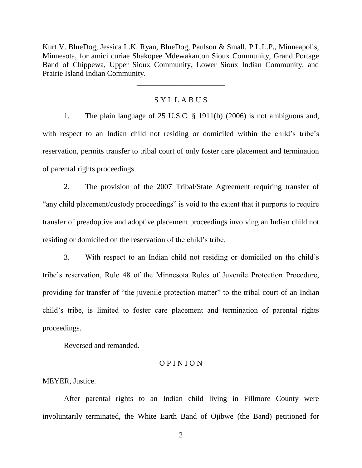Kurt V. BlueDog, Jessica L.K. Ryan, BlueDog, Paulson & Small, P.L.L.P., Minneapolis, Minnesota, for amici curiae Shakopee Mdewakanton Sioux Community, Grand Portage Band of Chippewa, Upper Sioux Community, Lower Sioux Indian Community, and Prairie Island Indian Community.

# S Y L L A B U S

\_\_\_\_\_\_\_\_\_\_\_\_\_\_\_\_\_\_\_\_\_\_\_

1. The plain language of 25 U.S.C. § 1911(b) (2006) is not ambiguous and, with respect to an Indian child not residing or domiciled within the child's tribe's reservation, permits transfer to tribal court of only foster care placement and termination of parental rights proceedings.

2. The provision of the 2007 Tribal/State Agreement requiring transfer of "any child placement/custody proceedings" is void to the extent that it purports to require transfer of preadoptive and adoptive placement proceedings involving an Indian child not residing or domiciled on the reservation of the child's tribe.

3. With respect to an Indian child not residing or domiciled on the child's tribe's reservation, Rule 48 of the Minnesota Rules of Juvenile Protection Procedure, providing for transfer of "the juvenile protection matter" to the tribal court of an Indian child's tribe, is limited to foster care placement and termination of parental rights proceedings.

Reversed and remanded.

## O P I N I O N

MEYER, Justice.

After parental rights to an Indian child living in Fillmore County were involuntarily terminated, the White Earth Band of Ojibwe (the Band) petitioned for

2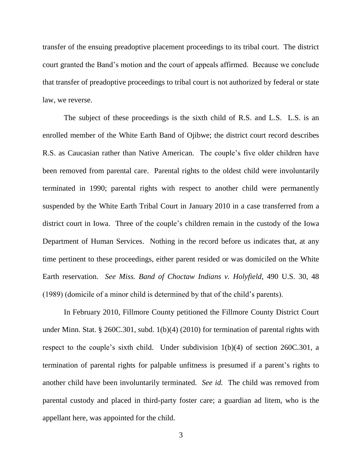transfer of the ensuing preadoptive placement proceedings to its tribal court. The district court granted the Band's motion and the court of appeals affirmed. Because we conclude that transfer of preadoptive proceedings to tribal court is not authorized by federal or state law, we reverse.

The subject of these proceedings is the sixth child of R.S. and L.S. L.S. is an enrolled member of the White Earth Band of Ojibwe; the district court record describes R.S. as Caucasian rather than Native American. The couple's five older children have been removed from parental care. Parental rights to the oldest child were involuntarily terminated in 1990; parental rights with respect to another child were permanently suspended by the White Earth Tribal Court in January 2010 in a case transferred from a district court in Iowa. Three of the couple's children remain in the custody of the Iowa Department of Human Services. Nothing in the record before us indicates that, at any time pertinent to these proceedings, either parent resided or was domiciled on the White Earth reservation. *See Miss. Band of Choctaw Indians v. Holyfield*, 490 U.S. 30, 48 (1989) (domicile of a minor child is determined by that of the child's parents).

In February 2010, Fillmore County petitioned the Fillmore County District Court under Minn. Stat. § 260C.301, subd. 1(b)(4) (2010) for termination of parental rights with respect to the couple's sixth child. Under subdivision 1(b)(4) of section 260C.301, a termination of parental rights for palpable unfitness is presumed if a parent's rights to another child have been involuntarily terminated. *See id.* The child was removed from parental custody and placed in third-party foster care; a guardian ad litem, who is the appellant here, was appointed for the child.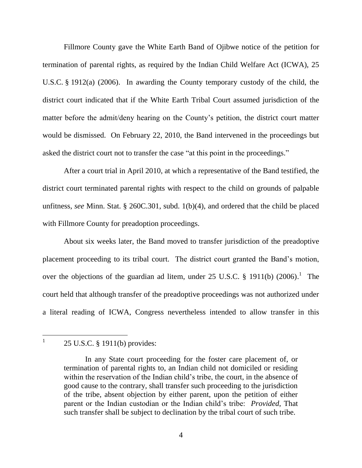Fillmore County gave the White Earth Band of Ojibwe notice of the petition for termination of parental rights, as required by the Indian Child Welfare Act (ICWA), 25 U.S.C. § 1912(a) (2006). In awarding the County temporary custody of the child, the district court indicated that if the White Earth Tribal Court assumed jurisdiction of the matter before the admit/deny hearing on the County's petition, the district court matter would be dismissed. On February 22, 2010, the Band intervened in the proceedings but asked the district court not to transfer the case "at this point in the proceedings."

After a court trial in April 2010, at which a representative of the Band testified, the district court terminated parental rights with respect to the child on grounds of palpable unfitness, *see* Minn. Stat. § 260C.301, subd. 1(b)(4), and ordered that the child be placed with Fillmore County for preadoption proceedings.

About six weeks later, the Band moved to transfer jurisdiction of the preadoptive placement proceeding to its tribal court. The district court granted the Band's motion, over the objections of the guardian ad litem, under 25 U.S.C.  $\S$  1911(b) (2006).<sup>1</sup> The court held that although transfer of the preadoptive proceedings was not authorized under a literal reading of ICWA, Congress nevertheless intended to allow transfer in this

 $\overline{a}$ 1

<sup>25</sup> U.S.C. § 1911(b) provides:

In any State court proceeding for the foster care placement of, or termination of parental rights to, an Indian child not domiciled or residing within the reservation of the Indian child's tribe, the court, in the absence of good cause to the contrary, shall transfer such proceeding to the jurisdiction of the tribe, absent objection by either parent, upon the petition of either parent or the Indian custodian or the Indian child's tribe: *Provided*, That such transfer shall be subject to declination by the tribal court of such tribe.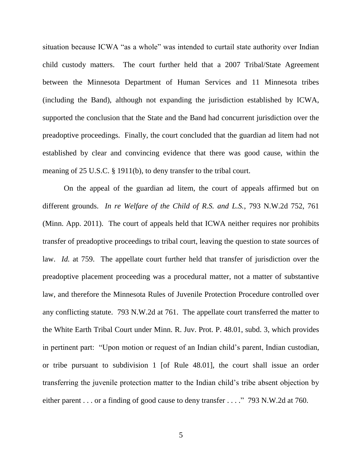situation because ICWA "as a whole" was intended to curtail state authority over Indian child custody matters. The court further held that a 2007 Tribal/State Agreement between the Minnesota Department of Human Services and 11 Minnesota tribes (including the Band), although not expanding the jurisdiction established by ICWA, supported the conclusion that the State and the Band had concurrent jurisdiction over the preadoptive proceedings. Finally, the court concluded that the guardian ad litem had not established by clear and convincing evidence that there was good cause, within the meaning of 25 U.S.C. § 1911(b), to deny transfer to the tribal court.

On the appeal of the guardian ad litem, the court of appeals affirmed but on different grounds. *In re Welfare of the Child of R.S. and L.S.*, 793 N.W.2d 752, 761 (Minn. App. 2011). The court of appeals held that ICWA neither requires nor prohibits transfer of preadoptive proceedings to tribal court, leaving the question to state sources of law. *Id.* at 759. The appellate court further held that transfer of jurisdiction over the preadoptive placement proceeding was a procedural matter, not a matter of substantive law, and therefore the Minnesota Rules of Juvenile Protection Procedure controlled over any conflicting statute. 793 N.W.2d at 761. The appellate court transferred the matter to the White Earth Tribal Court under Minn. R. Juv. Prot. P. 48.01, subd. 3, which provides in pertinent part: "Upon motion or request of an Indian child's parent, Indian custodian, or tribe pursuant to subdivision 1 [of Rule 48.01], the court shall issue an order transferring the juvenile protection matter to the Indian child's tribe absent objection by either parent . . . or a finding of good cause to deny transfer . . . ." 793 N.W.2d at 760.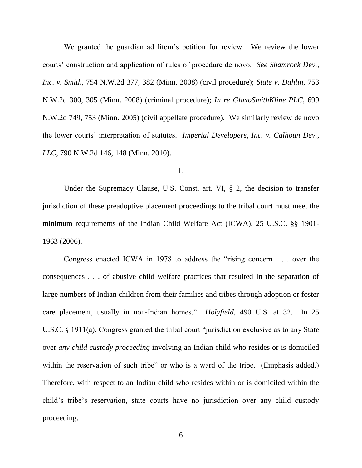We granted the guardian ad litem's petition for review. We review the lower courts' construction and application of rules of procedure de novo. *See Shamrock Dev., Inc. v. Smith*, 754 N.W.2d 377, 382 (Minn. 2008) (civil procedure); *State v. Dahlin*, 753 N.W.2d 300, 305 (Minn. 2008) (criminal procedure); *In re GlaxoSmithKline PLC*, 699 N.W.2d 749, 753 (Minn. 2005) (civil appellate procedure). We similarly review de novo the lower courts' interpretation of statutes. *Imperial Developers, Inc. v. Calhoun Dev., LLC*, 790 N.W.2d 146, 148 (Minn. 2010).

### I.

Under the Supremacy Clause, U.S. Const. art. VI, § 2, the decision to transfer jurisdiction of these preadoptive placement proceedings to the tribal court must meet the minimum requirements of the Indian Child Welfare Act (ICWA), 25 U.S.C. §§ 1901- 1963 (2006).

Congress enacted ICWA in 1978 to address the "rising concern . . . over the consequences . . . of abusive child welfare practices that resulted in the separation of large numbers of Indian children from their families and tribes through adoption or foster care placement, usually in non-Indian homes." *Holyfield*, 490 U.S. at 32. In 25 U.S.C. § 1911(a), Congress granted the tribal court "jurisdiction exclusive as to any State over *any child custody proceeding* involving an Indian child who resides or is domiciled within the reservation of such tribe" or who is a ward of the tribe. (Emphasis added.) Therefore, with respect to an Indian child who resides within or is domiciled within the child's tribe's reservation, state courts have no jurisdiction over any child custody proceeding.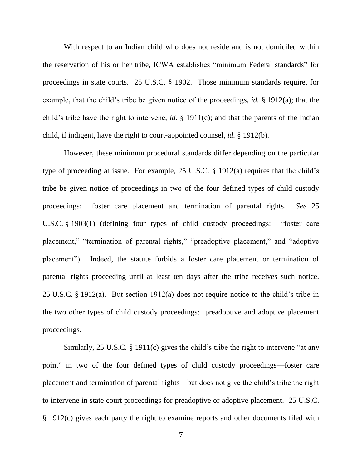With respect to an Indian child who does not reside and is not domiciled within the reservation of his or her tribe, ICWA establishes "minimum Federal standards" for proceedings in state courts. 25 U.S.C. § 1902. Those minimum standards require, for example, that the child's tribe be given notice of the proceedings, *id.* § 1912(a); that the child's tribe have the right to intervene, *id.* § 1911(c); and that the parents of the Indian child, if indigent, have the right to court-appointed counsel, *id.* § 1912(b).

However, these minimum procedural standards differ depending on the particular type of proceeding at issue. For example, 25 U.S.C. § 1912(a) requires that the child's tribe be given notice of proceedings in two of the four defined types of child custody proceedings: foster care placement and termination of parental rights. *See* 25 U.S.C. § 1903(1) (defining four types of child custody proceedings: "foster care placement," "termination of parental rights," "preadoptive placement," and "adoptive placement"). Indeed, the statute forbids a foster care placement or termination of parental rights proceeding until at least ten days after the tribe receives such notice. 25 U.S.C. § 1912(a). But section 1912(a) does not require notice to the child's tribe in the two other types of child custody proceedings: preadoptive and adoptive placement proceedings.

Similarly, 25 U.S.C. § 1911(c) gives the child's tribe the right to intervene "at any point" in two of the four defined types of child custody proceedings—foster care placement and termination of parental rights—but does not give the child's tribe the right to intervene in state court proceedings for preadoptive or adoptive placement. 25 U.S.C. § 1912(c) gives each party the right to examine reports and other documents filed with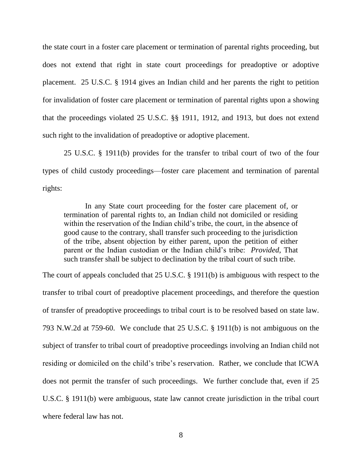the state court in a foster care placement or termination of parental rights proceeding, but does not extend that right in state court proceedings for preadoptive or adoptive placement. 25 U.S.C. § 1914 gives an Indian child and her parents the right to petition for invalidation of foster care placement or termination of parental rights upon a showing that the proceedings violated 25 U.S.C. §§ 1911, 1912, and 1913, but does not extend such right to the invalidation of preadoptive or adoptive placement.

25 U.S.C. § 1911(b) provides for the transfer to tribal court of two of the four types of child custody proceedings—foster care placement and termination of parental rights:

In any State court proceeding for the foster care placement of, or termination of parental rights to, an Indian child not domiciled or residing within the reservation of the Indian child's tribe, the court, in the absence of good cause to the contrary, shall transfer such proceeding to the jurisdiction of the tribe, absent objection by either parent, upon the petition of either parent or the Indian custodian or the Indian child's tribe: *Provided*, That such transfer shall be subject to declination by the tribal court of such tribe.

The court of appeals concluded that 25 U.S.C. § 1911(b) is ambiguous with respect to the transfer to tribal court of preadoptive placement proceedings, and therefore the question of transfer of preadoptive proceedings to tribal court is to be resolved based on state law. 793 N.W.2d at 759-60. We conclude that 25 U.S.C. § 1911(b) is not ambiguous on the subject of transfer to tribal court of preadoptive proceedings involving an Indian child not residing or domiciled on the child's tribe's reservation. Rather, we conclude that ICWA does not permit the transfer of such proceedings. We further conclude that, even if 25 U.S.C. § 1911(b) were ambiguous, state law cannot create jurisdiction in the tribal court where federal law has not.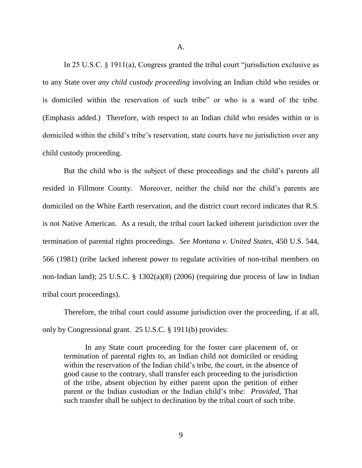A.

In 25 U.S.C. § 1911(a), Congress granted the tribal court "jurisdiction exclusive as to any State over *any child custody proceeding* involving an Indian child who resides or is domiciled within the reservation of such tribe" or who is a ward of the tribe. (Emphasis added.) Therefore, with respect to an Indian child who resides within or is domiciled within the child's tribe's reservation, state courts have no jurisdiction over any child custody proceeding.

But the child who is the subject of these proceedings and the child's parents all resided in Fillmore County. Moreover, neither the child nor the child's parents are domiciled on the White Earth reservation, and the district court record indicates that R.S. is not Native American. As a result, the tribal court lacked inherent jurisdiction over the termination of parental rights proceedings. *See Montana v. United States*, 450 U.S. 544, 566 (1981) (tribe lacked inherent power to regulate activities of non-tribal members on non-Indian land); 25 U.S.C. § 1302(a)(8) (2006) (requiring due process of law in Indian tribal court proceedings).

Therefore, the tribal court could assume jurisdiction over the proceeding, if at all, only by Congressional grant. 25 U.S.C. § 1911(b) provides:

In any State court proceeding for the foster care placement of, or termination of parental rights to, an Indian child not domiciled or residing within the reservation of the Indian child's tribe, the court, in the absence of good cause to the contrary, shall transfer each proceeding to the jurisdiction of the tribe, absent objection by either parent upon the petition of either parent or the Indian custodian or the Indian child's tribe: *Provided*, That such transfer shall be subject to declination by the tribal court of such tribe.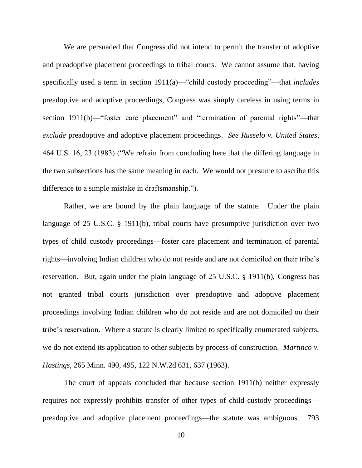We are persuaded that Congress did not intend to permit the transfer of adoptive and preadoptive placement proceedings to tribal courts. We cannot assume that, having specifically used a term in section 1911(a)—"child custody proceeding"—that *includes*  preadoptive and adoptive proceedings, Congress was simply careless in using terms in section 1911(b)—"foster care placement" and "termination of parental rights"—that *exclude* preadoptive and adoptive placement proceedings. *See Russelo v. United States*, 464 U.S. 16, 23 (1983) ("We refrain from concluding here that the differing language in the two subsections has the same meaning in each. We would not presume to ascribe this difference to a simple mistake in draftsmanship.").

Rather, we are bound by the plain language of the statute. Under the plain language of 25 U.S.C. § 1911(b), tribal courts have presumptive jurisdiction over two types of child custody proceedings—foster care placement and termination of parental rights—involving Indian children who do not reside and are not domiciled on their tribe's reservation. But, again under the plain language of 25 U.S.C. § 1911(b), Congress has not granted tribal courts jurisdiction over preadoptive and adoptive placement proceedings involving Indian children who do not reside and are not domiciled on their tribe's reservation. Where a statute is clearly limited to specifically enumerated subjects, we do not extend its application to other subjects by process of construction. *Martinco v. Hastings*, 265 Minn. 490, 495, 122 N.W.2d 631, 637 (1963).

The court of appeals concluded that because section 1911(b) neither expressly requires nor expressly prohibits transfer of other types of child custody proceedings preadoptive and adoptive placement proceedings—the statute was ambiguous. 793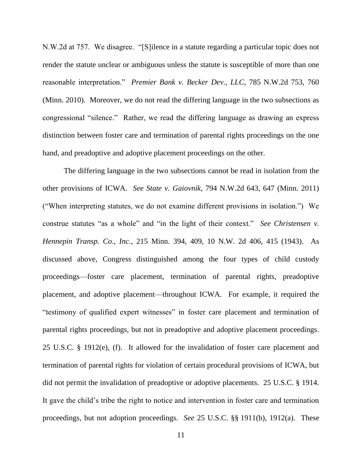N.W.2d at 757. We disagree. "[S]ilence in a statute regarding a particular topic does not render the statute unclear or ambiguous unless the statute is susceptible of more than one reasonable interpretation." *Premier Bank v. Becker Dev., LLC*, 785 N.W.2d 753, 760 (Minn. 2010). Moreover, we do not read the differing language in the two subsections as congressional "silence." Rather, we read the differing language as drawing an express distinction between foster care and termination of parental rights proceedings on the one hand, and preadoptive and adoptive placement proceedings on the other.

The differing language in the two subsections cannot be read in isolation from the other provisions of ICWA. *See State v. Gaiovnik,* 794 N.W.2d 643, 647 (Minn. 2011) ("When interpreting statutes, we do not examine different provisions in isolation.") We construe statutes "as a whole" and "in the light of their context." *See Christensen v. Hennepin Transp. Co., Inc.,* 215 Minn. 394, 409, 10 N.W. 2d 406, 415 (1943). As discussed above, Congress distinguished among the four types of child custody proceedings—foster care placement, termination of parental rights, preadoptive placement, and adoptive placement—throughout ICWA. For example, it required the "testimony of qualified expert witnesses" in foster care placement and termination of parental rights proceedings, but not in preadoptive and adoptive placement proceedings. 25 U.S.C. § 1912(e), (f). It allowed for the invalidation of foster care placement and termination of parental rights for violation of certain procedural provisions of ICWA, but did not permit the invalidation of preadoptive or adoptive placements. 25 U.S.C. § 1914. It gave the child's tribe the right to notice and intervention in foster care and termination proceedings, but not adoption proceedings. *See* 25 U.S.C. §§ 1911(b), 1912(a). These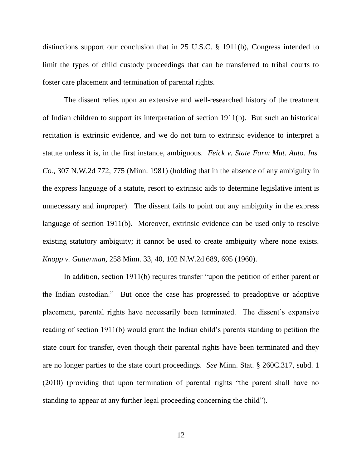distinctions support our conclusion that in 25 U.S.C. § 1911(b), Congress intended to limit the types of child custody proceedings that can be transferred to tribal courts to foster care placement and termination of parental rights.

The dissent relies upon an extensive and well-researched history of the treatment of Indian children to support its interpretation of section 1911(b). But such an historical recitation is extrinsic evidence, and we do not turn to extrinsic evidence to interpret a statute unless it is, in the first instance, ambiguous. *Feick v. State Farm Mut. Auto. Ins. Co.*, 307 N.W.2d 772, 775 (Minn. 1981) (holding that in the absence of any ambiguity in the express language of a statute, resort to extrinsic aids to determine legislative intent is unnecessary and improper). The dissent fails to point out any ambiguity in the express language of section 1911(b). Moreover, extrinsic evidence can be used only to resolve existing statutory ambiguity; it cannot be used to create ambiguity where none exists. *Knopp v. Gutterman*, 258 Minn. 33, 40, 102 N.W.2d 689, 695 (1960).

In addition, section 1911(b) requires transfer "upon the petition of either parent or the Indian custodian." But once the case has progressed to preadoptive or adoptive placement, parental rights have necessarily been terminated. The dissent's expansive reading of section 1911(b) would grant the Indian child's parents standing to petition the state court for transfer, even though their parental rights have been terminated and they are no longer parties to the state court proceedings. *See* Minn. Stat. § 260C.317, subd. 1 (2010) (providing that upon termination of parental rights "the parent shall have no standing to appear at any further legal proceeding concerning the child").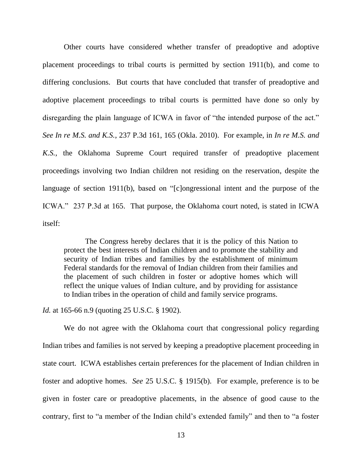Other courts have considered whether transfer of preadoptive and adoptive placement proceedings to tribal courts is permitted by section 1911(b), and come to differing conclusions. But courts that have concluded that transfer of preadoptive and adoptive placement proceedings to tribal courts is permitted have done so only by disregarding the plain language of ICWA in favor of "the intended purpose of the act." *See In re M.S. and K.S.*, 237 P.3d 161, 165 (Okla. 2010). For example, in *In re M.S. and K.S.*, the Oklahoma Supreme Court required transfer of preadoptive placement proceedings involving two Indian children not residing on the reservation, despite the language of section 1911(b), based on "[c]ongressional intent and the purpose of the ICWA." 237 P.3d at 165. That purpose, the Oklahoma court noted, is stated in ICWA itself:

The Congress hereby declares that it is the policy of this Nation to protect the best interests of Indian children and to promote the stability and security of Indian tribes and families by the establishment of minimum Federal standards for the removal of Indian children from their families and the placement of such children in foster or adoptive homes which will reflect the unique values of Indian culture, and by providing for assistance to Indian tribes in the operation of child and family service programs.

## *Id.* at 165-66 n.9 (quoting 25 U.S.C. § 1902).

We do not agree with the Oklahoma court that congressional policy regarding Indian tribes and families is not served by keeping a preadoptive placement proceeding in state court. ICWA establishes certain preferences for the placement of Indian children in foster and adoptive homes. *See* 25 U.S.C. § 1915(b). For example, preference is to be given in foster care or preadoptive placements, in the absence of good cause to the contrary, first to "a member of the Indian child's extended family" and then to "a foster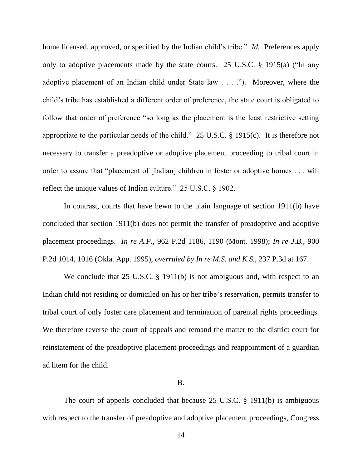home licensed, approved, or specified by the Indian child's tribe." *Id.* Preferences apply only to adoptive placements made by the state courts. 25 U.S.C. § 1915(a) ("In any adoptive placement of an Indian child under State law . . . ."). Moreover, where the child's tribe has established a different order of preference, the state court is obligated to follow that order of preference "so long as the placement is the least restrictive setting appropriate to the particular needs of the child." 25 U.S.C. § 1915(c). It is therefore not necessary to transfer a preadoptive or adoptive placement proceeding to tribal court in order to assure that "placement of [Indian] children in foster or adoptive homes . . . will reflect the unique values of Indian culture." 25 U.S.C. § 1902.

In contrast, courts that have hewn to the plain language of section 1911(b) have concluded that section 1911(b) does not permit the transfer of preadoptive and adoptive placement proceedings. *In re A.P.*, 962 P.2d 1186, 1190 (Mont. 1998); *In re J.B.*, 900 P.2d 1014, 1016 (Okla. App. 1995), *overruled by In re M.S. and K.S.*, 237 P.3d at 167.

We conclude that 25 U.S.C. § 1911(b) is not ambiguous and, with respect to an Indian child not residing or domiciled on his or her tribe's reservation, permits transfer to tribal court of only foster care placement and termination of parental rights proceedings. We therefore reverse the court of appeals and remand the matter to the district court for reinstatement of the preadoptive placement proceedings and reappointment of a guardian ad litem for the child.

#### B.

The court of appeals concluded that because 25 U.S.C. § 1911(b) is ambiguous with respect to the transfer of preadoptive and adoptive placement proceedings, Congress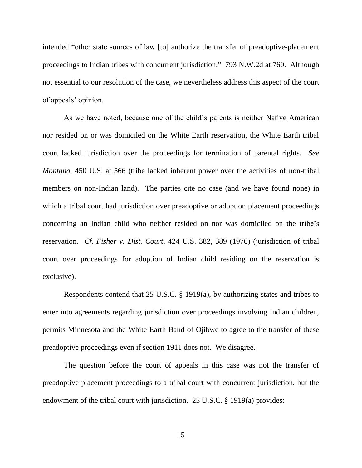intended "other state sources of law [to] authorize the transfer of preadoptive-placement proceedings to Indian tribes with concurrent jurisdiction." 793 N.W.2d at 760. Although not essential to our resolution of the case, we nevertheless address this aspect of the court of appeals' opinion.

As we have noted, because one of the child's parents is neither Native American nor resided on or was domiciled on the White Earth reservation, the White Earth tribal court lacked jurisdiction over the proceedings for termination of parental rights. *See Montana*, 450 U.S. at 566 (tribe lacked inherent power over the activities of non-tribal members on non-Indian land). The parties cite no case (and we have found none) in which a tribal court had jurisdiction over preadoptive or adoption placement proceedings concerning an Indian child who neither resided on nor was domiciled on the tribe's reservation. *Cf*. *Fisher v. Dist. Court*, 424 U.S. 382, 389 (1976) (jurisdiction of tribal court over proceedings for adoption of Indian child residing on the reservation is exclusive).

Respondents contend that 25 U.S.C. § 1919(a), by authorizing states and tribes to enter into agreements regarding jurisdiction over proceedings involving Indian children, permits Minnesota and the White Earth Band of Ojibwe to agree to the transfer of these preadoptive proceedings even if section 1911 does not. We disagree.

The question before the court of appeals in this case was not the transfer of preadoptive placement proceedings to a tribal court with concurrent jurisdiction, but the endowment of the tribal court with jurisdiction. 25 U.S.C. § 1919(a) provides:

15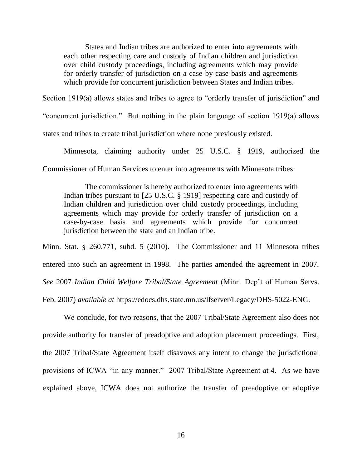States and Indian tribes are authorized to enter into agreements with each other respecting care and custody of Indian children and jurisdiction over child custody proceedings, including agreements which may provide for orderly transfer of jurisdiction on a case-by-case basis and agreements which provide for concurrent jurisdiction between States and Indian tribes.

Section 1919(a) allows states and tribes to agree to "orderly transfer of jurisdiction" and

"concurrent jurisdiction." But nothing in the plain language of section 1919(a) allows

states and tribes to create tribal jurisdiction where none previously existed.

Minnesota, claiming authority under 25 U.S.C. § 1919, authorized the

Commissioner of Human Services to enter into agreements with Minnesota tribes:

The commissioner is hereby authorized to enter into agreements with Indian tribes pursuant to [25 U.S.C. § 1919] respecting care and custody of Indian children and jurisdiction over child custody proceedings, including agreements which may provide for orderly transfer of jurisdiction on a case-by-case basis and agreements which provide for concurrent jurisdiction between the state and an Indian tribe.

Minn. Stat. § 260.771, subd. 5 (2010). The Commissioner and 11 Minnesota tribes entered into such an agreement in 1998. The parties amended the agreement in 2007. *See* 2007 *Indian Child Welfare Tribal/State Agreement* (Minn. Dep't of Human Servs. Feb. 2007) *available at* https://edocs.dhs.state.mn.us/lfserver/Legacy/DHS-5022-ENG.

We conclude, for two reasons, that the 2007 Tribal/State Agreement also does not provide authority for transfer of preadoptive and adoption placement proceedings. First, the 2007 Tribal/State Agreement itself disavows any intent to change the jurisdictional provisions of ICWA "in any manner." 2007 Tribal/State Agreement at 4. As we have explained above, ICWA does not authorize the transfer of preadoptive or adoptive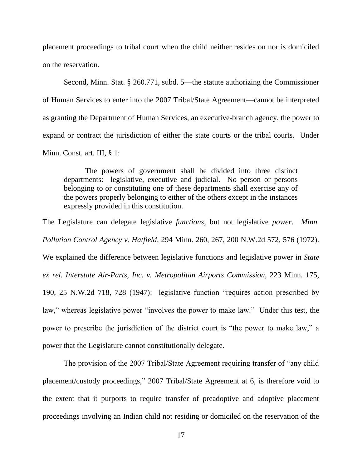placement proceedings to tribal court when the child neither resides on nor is domiciled on the reservation.

Second, Minn. Stat. § 260.771, subd. 5—the statute authorizing the Commissioner of Human Services to enter into the 2007 Tribal/State Agreement—cannot be interpreted as granting the Department of Human Services, an executive-branch agency, the power to expand or contract the jurisdiction of either the state courts or the tribal courts. Under Minn. Const. art. III, § 1:

The powers of government shall be divided into three distinct departments: legislative, executive and judicial. No person or persons belonging to or constituting one of these departments shall exercise any of the powers properly belonging to either of the others except in the instances expressly provided in this constitution.

The Legislature can delegate legislative *functions*, but not legislative *power*. *Minn. Pollution Control Agency v. Hatfield*, 294 Minn. 260, 267, 200 N.W.2d 572, 576 (1972). We explained the difference between legislative functions and legislative power in *State ex rel. Interstate Air-Parts, Inc. v. Metropolitan Airports Commission*, 223 Minn. 175, 190, 25 N.W.2d 718, 728 (1947): legislative function "requires action prescribed by law," whereas legislative power "involves the power to make law." Under this test, the power to prescribe the jurisdiction of the district court is "the power to make law," a power that the Legislature cannot constitutionally delegate.

The provision of the 2007 Tribal/State Agreement requiring transfer of "any child placement/custody proceedings," 2007 Tribal/State Agreement at 6, is therefore void to the extent that it purports to require transfer of preadoptive and adoptive placement proceedings involving an Indian child not residing or domiciled on the reservation of the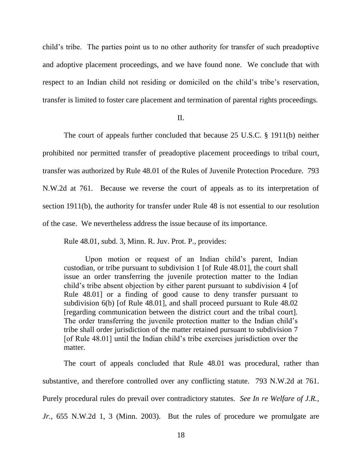child's tribe. The parties point us to no other authority for transfer of such preadoptive and adoptive placement proceedings, and we have found none. We conclude that with respect to an Indian child not residing or domiciled on the child's tribe's reservation, transfer is limited to foster care placement and termination of parental rights proceedings.

II.

The court of appeals further concluded that because 25 U.S.C. § 1911(b) neither prohibited nor permitted transfer of preadoptive placement proceedings to tribal court, transfer was authorized by Rule 48.01 of the Rules of Juvenile Protection Procedure. 793 N.W.2d at 761. Because we reverse the court of appeals as to its interpretation of section 1911(b), the authority for transfer under Rule 48 is not essential to our resolution of the case. We nevertheless address the issue because of its importance.

Rule 48.01, subd. 3, Minn. R. Juv. Prot. P., provides:

Upon motion or request of an Indian child's parent, Indian custodian, or tribe pursuant to subdivision 1 [of Rule 48.01], the court shall issue an order transferring the juvenile protection matter to the Indian child's tribe absent objection by either parent pursuant to subdivision 4 [of Rule 48.01] or a finding of good cause to deny transfer pursuant to subdivision 6(b) [of Rule 48.01], and shall proceed pursuant to Rule 48.02 [regarding communication between the district court and the tribal court]. The order transferring the juvenile protection matter to the Indian child's tribe shall order jurisdiction of the matter retained pursuant to subdivision 7 [of Rule 48.01] until the Indian child's tribe exercises jurisdiction over the matter.

The court of appeals concluded that Rule 48.01 was procedural, rather than substantive, and therefore controlled over any conflicting statute. 793 N.W.2d at 761. Purely procedural rules do prevail over contradictory statutes. *See In re Welfare of J.R., Jr.*, 655 N.W.2d 1, 3 (Minn. 2003). But the rules of procedure we promulgate are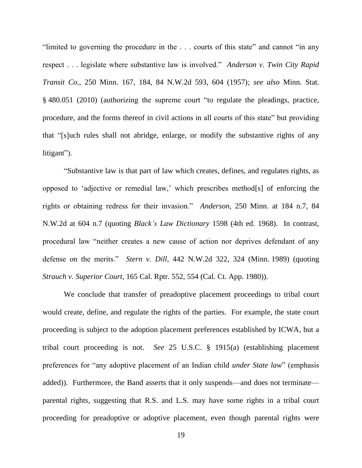"limited to governing the procedure in the . . . courts of this state" and cannot "in any respect . . . legislate where substantive law is involved." *Anderson v. Twin City Rapid Transit Co.*, 250 Minn. 167, 184, 84 N.W.2d 593, 604 (1957); *see also* Minn. Stat. § 480.051 (2010) (authorizing the supreme court "to regulate the pleadings, practice, procedure, and the forms thereof in civil actions in all courts of this state" but providing that "[s]uch rules shall not abridge, enlarge, or modify the substantive rights of any litigant").

"Substantive law is that part of law which creates, defines, and regulates rights, as opposed to 'adjective or remedial law,' which prescribes method[s] of enforcing the rights or obtaining redress for their invasion." *Anderson*, 250 Minn. at 184 n.7, 84 N.W.2d at 604 n.7 (quoting *Black's Law Dictionary* 1598 (4th ed. 1968). In contrast, procedural law "neither creates a new cause of action nor deprives defendant of any defense on the merits." *Stern v. Dill*, 442 N.W.2d 322, 324 (Minn. 1989) (quoting *Strauch v. Superior Court*, 165 Cal. Rptr. 552, 554 (Cal. Ct. App. 1980)).

We conclude that transfer of preadoptive placement proceedings to tribal court would create, define, and regulate the rights of the parties. For example, the state court proceeding is subject to the adoption placement preferences established by ICWA, but a tribal court proceeding is not. *See* 25 U.S.C. § 1915(a) (establishing placement preferences for "any adoptive placement of an Indian child *under State law*" (emphasis added)). Furthermore, the Band asserts that it only suspends—and does not terminate parental rights, suggesting that R.S. and L.S. may have some rights in a tribal court proceeding for preadoptive or adoptive placement, even though parental rights were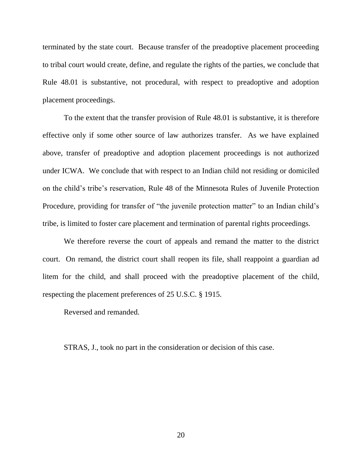terminated by the state court. Because transfer of the preadoptive placement proceeding to tribal court would create, define, and regulate the rights of the parties, we conclude that Rule 48.01 is substantive, not procedural, with respect to preadoptive and adoption placement proceedings.

To the extent that the transfer provision of Rule 48.01 is substantive, it is therefore effective only if some other source of law authorizes transfer. As we have explained above, transfer of preadoptive and adoption placement proceedings is not authorized under ICWA. We conclude that with respect to an Indian child not residing or domiciled on the child's tribe's reservation, Rule 48 of the Minnesota Rules of Juvenile Protection Procedure, providing for transfer of "the juvenile protection matter" to an Indian child's tribe, is limited to foster care placement and termination of parental rights proceedings.

We therefore reverse the court of appeals and remand the matter to the district court. On remand, the district court shall reopen its file, shall reappoint a guardian ad litem for the child, and shall proceed with the preadoptive placement of the child, respecting the placement preferences of 25 U.S.C. § 1915.

Reversed and remanded.

STRAS, J., took no part in the consideration or decision of this case.

20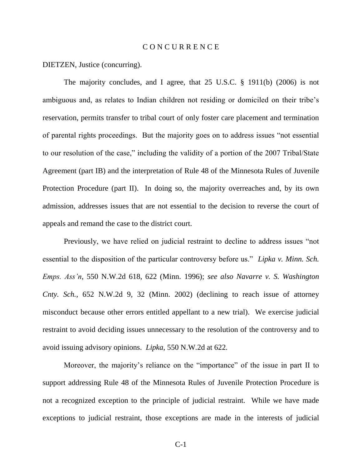### C O N C U R R E N C E

DIETZEN, Justice (concurring).

The majority concludes, and I agree, that 25 U.S.C. § 1911(b) (2006) is not ambiguous and, as relates to Indian children not residing or domiciled on their tribe's reservation, permits transfer to tribal court of only foster care placement and termination of parental rights proceedings. But the majority goes on to address issues "not essential to our resolution of the case," including the validity of a portion of the 2007 Tribal/State Agreement (part IB) and the interpretation of Rule 48 of the Minnesota Rules of Juvenile Protection Procedure (part II). In doing so, the majority overreaches and, by its own admission, addresses issues that are not essential to the decision to reverse the court of appeals and remand the case to the district court.

Previously, we have relied on judicial restraint to decline to address issues "not essential to the disposition of the particular controversy before us." *Lipka v. Minn. Sch. Emps. Ass'n*, 550 N.W.2d 618, 622 (Minn. 1996); *see also Navarre v. S. Washington Cnty. Sch.*, 652 N.W.2d 9, 32 (Minn. 2002) (declining to reach issue of attorney misconduct because other errors entitled appellant to a new trial). We exercise judicial restraint to avoid deciding issues unnecessary to the resolution of the controversy and to avoid issuing advisory opinions. *Lipka*, 550 N.W.2d at 622*.*

Moreover, the majority's reliance on the "importance" of the issue in part II to support addressing Rule 48 of the Minnesota Rules of Juvenile Protection Procedure is not a recognized exception to the principle of judicial restraint. While we have made exceptions to judicial restraint, those exceptions are made in the interests of judicial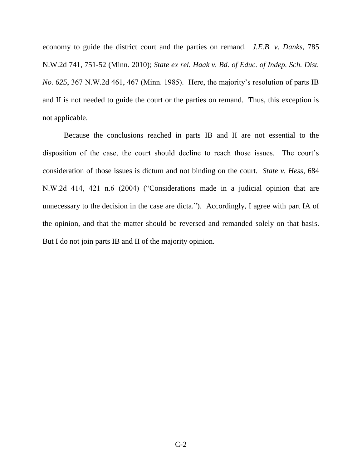economy to guide the district court and the parties on remand. *J.E.B. v. Danks*, 785 N.W.2d 741, 751-52 (Minn. 2010); *State ex rel. Haak v. Bd. of Educ. of Indep. Sch. Dist. No. 625*, 367 N.W.2d 461, 467 (Minn. 1985). Here, the majority's resolution of parts IB and II is not needed to guide the court or the parties on remand. Thus, this exception is not applicable.

Because the conclusions reached in parts IB and II are not essential to the disposition of the case, the court should decline to reach those issues. The court's consideration of those issues is dictum and not binding on the court. *State v. Hess*, 684 N.W.2d 414, 421 n.6 (2004) ("Considerations made in a judicial opinion that are unnecessary to the decision in the case are dicta."). Accordingly, I agree with part IA of the opinion, and that the matter should be reversed and remanded solely on that basis. But I do not join parts IB and II of the majority opinion.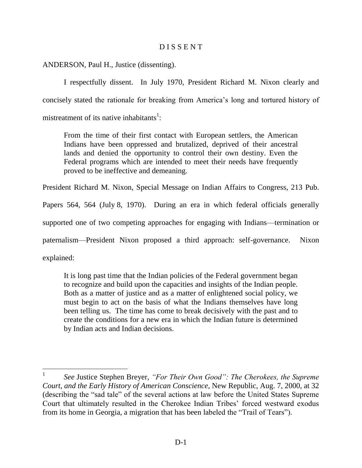# D I S S E N T

ANDERSON, Paul H., Justice (dissenting).

I respectfully dissent. In July 1970, President Richard M. Nixon clearly and concisely stated the rationale for breaking from America's long and tortured history of mistreatment of its native inhabitants<sup>1</sup>:

From the time of their first contact with European settlers, the American Indians have been oppressed and brutalized, deprived of their ancestral lands and denied the opportunity to control their own destiny. Even the Federal programs which are intended to meet their needs have frequently proved to be ineffective and demeaning.

President Richard M. Nixon, Special Message on Indian Affairs to Congress, 213 Pub.

Papers 564, 564 (July 8, 1970). During an era in which federal officials generally

supported one of two competing approaches for engaging with Indians—termination or

paternalism—President Nixon proposed a third approach: self-governance. Nixon

explained:

It is long past time that the Indian policies of the Federal government began to recognize and build upon the capacities and insights of the Indian people. Both as a matter of justice and as a matter of enlightened social policy, we must begin to act on the basis of what the Indians themselves have long been telling us. The time has come to break decisively with the past and to create the conditions for a new era in which the Indian future is determined by Indian acts and Indian decisions.

<sup>1</sup> *See* Justice Stephen Breyer, *"For Their Own Good": The Cherokees, the Supreme Court, and the Early History of American Conscience*, New Republic, Aug. 7, 2000, at 32 (describing the "sad tale" of the several actions at law before the United States Supreme Court that ultimately resulted in the Cherokee Indian Tribes' forced westward exodus from its home in Georgia, a migration that has been labeled the "Trail of Tears").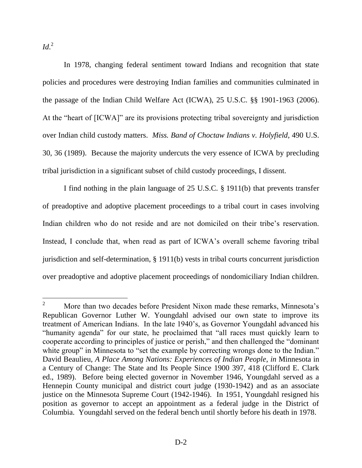$Id.^2$ 

In 1978, changing federal sentiment toward Indians and recognition that state policies and procedures were destroying Indian families and communities culminated in the passage of the Indian Child Welfare Act (ICWA), 25 U.S.C. §§ 1901-1963 (2006). At the "heart of [ICWA]" are its provisions protecting tribal sovereignty and jurisdiction over Indian child custody matters. *Miss. Band of Choctaw Indians v. Holyfield*, 490 U.S. 30, 36 (1989). Because the majority undercuts the very essence of ICWA by precluding tribal jurisdiction in a significant subset of child custody proceedings, I dissent.

I find nothing in the plain language of 25 U.S.C. § 1911(b) that prevents transfer of preadoptive and adoptive placement proceedings to a tribal court in cases involving Indian children who do not reside and are not domiciled on their tribe's reservation. Instead, I conclude that, when read as part of ICWA's overall scheme favoring tribal jurisdiction and self-determination, § 1911(b) vests in tribal courts concurrent jurisdiction over preadoptive and adoptive placement proceedings of nondomiciliary Indian children.

 $\overline{2}$ <sup>2</sup> More than two decades before President Nixon made these remarks, Minnesota's Republican Governor Luther W. Youngdahl advised our own state to improve its treatment of American Indians. In the late 1940's, as Governor Youngdahl advanced his "humanity agenda" for our state, he proclaimed that "all races must quickly learn to cooperate according to principles of justice or perish," and then challenged the "dominant white group" in Minnesota to "set the example by correcting wrongs done to the Indian." David Beaulieu, *A Place Among Nations: Experiences of Indian People*, *in* Minnesota in a Century of Change: The State and Its People Since 1900 397, 418 (Clifford E. Clark ed., 1989). Before being elected governor in November 1946, Youngdahl served as a Hennepin County municipal and district court judge (1930-1942) and as an associate justice on the Minnesota Supreme Court (1942-1946). In 1951, Youngdahl resigned his position as governor to accept an appointment as a federal judge in the District of Columbia. Youngdahl served on the federal bench until shortly before his death in 1978.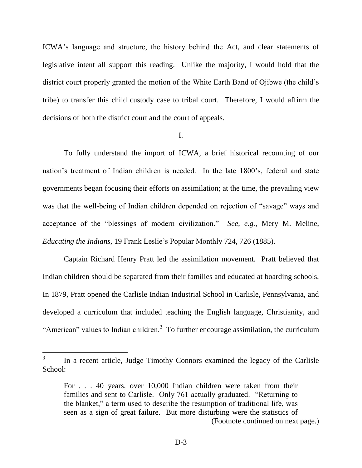ICWA's language and structure, the history behind the Act, and clear statements of legislative intent all support this reading. Unlike the majority, I would hold that the district court properly granted the motion of the White Earth Band of Ojibwe (the child's tribe) to transfer this child custody case to tribal court. Therefore, I would affirm the decisions of both the district court and the court of appeals.

### I.

To fully understand the import of ICWA, a brief historical recounting of our nation's treatment of Indian children is needed. In the late 1800's, federal and state governments began focusing their efforts on assimilation; at the time, the prevailing view was that the well-being of Indian children depended on rejection of "savage" ways and acceptance of the "blessings of modern civilization." *See, e.g.,* Mery M. Meline, *Educating the Indians*, 19 Frank Leslie's Popular Monthly 724, 726 (1885).

Captain Richard Henry Pratt led the assimilation movement. Pratt believed that Indian children should be separated from their families and educated at boarding schools. In 1879, Pratt opened the Carlisle Indian Industrial School in Carlisle, Pennsylvania, and developed a curriculum that included teaching the English language, Christianity, and "American" values to Indian children. $3$  To further encourage assimilation, the curriculum

 $\overline{a}$ 

<sup>3</sup> In a recent article, Judge Timothy Connors examined the legacy of the Carlisle School:

For . . . 40 years, over 10,000 Indian children were taken from their families and sent to Carlisle. Only 761 actually graduated. "Returning to the blanket," a term used to describe the resumption of traditional life, was seen as a sign of great failure. But more disturbing were the statistics of (Footnote continued on next page.)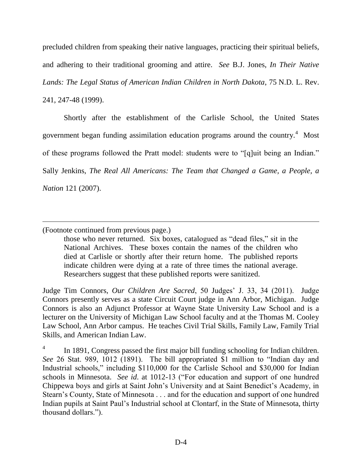precluded children from speaking their native languages, practicing their spiritual beliefs, and adhering to their traditional grooming and attire. *See* B.J. Jones, *In Their Native Lands: The Legal Status of American Indian Children in North Dakota*, 75 N.D. L. Rev. 241, 247-48 (1999).

Shortly after the establishment of the Carlisle School, the United States government began funding assimilation education programs around the country.<sup>4</sup> Most of these programs followed the Pratt model: students were to "[q]uit being an Indian." Sally Jenkins, *The Real All Americans: The Team that Changed a Game, a People, a Nation* 121 (2007).

(Footnote continued from previous page.)

 $\overline{a}$ 

those who never returned. Six boxes, catalogued as "dead files," sit in the National Archives. These boxes contain the names of the children who died at Carlisle or shortly after their return home. The published reports indicate children were dying at a rate of three times the national average. Researchers suggest that these published reports were sanitized.

Judge Tim Connors, *Our Children Are Sacred*, 50 Judges' J. 33, 34 (2011). Judge Connors presently serves as a state Circuit Court judge in Ann Arbor, Michigan. Judge Connors is also an Adjunct Professor at Wayne State University Law School and is a lecturer on the University of Michigan Law School faculty and at the Thomas M. Cooley Law School, Ann Arbor campus. He teaches Civil Trial Skills, Family Law, Family Trial Skills, and American Indian Law.

4 In 1891, Congress passed the first major bill funding schooling for Indian children. *See* 26 Stat. 989, 1012 (1891). The bill appropriated \$1 million to "Indian day and Industrial schools," including \$110,000 for the Carlisle School and \$30,000 for Indian schools in Minnesota. *See id*. at 1012-13 ("For education and support of one hundred Chippewa boys and girls at Saint John's University and at Saint Benedict's Academy, in Stearn's County, State of Minnesota . . . and for the education and support of one hundred Indian pupils at Saint Paul's Industrial school at Clontarf, in the State of Minnesota, thirty thousand dollars.").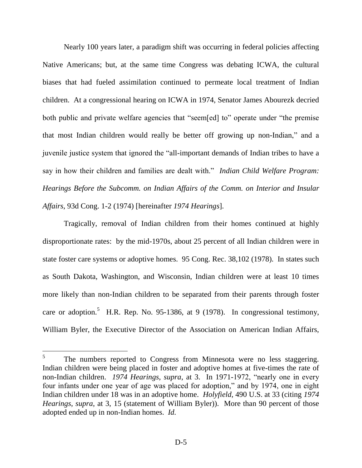Nearly 100 years later, a paradigm shift was occurring in federal policies affecting Native Americans; but, at the same time Congress was debating ICWA, the cultural biases that had fueled assimilation continued to permeate local treatment of Indian children. At a congressional hearing on ICWA in 1974, Senator James Abourezk decried both public and private welfare agencies that "seem[ed] to" operate under "the premise that most Indian children would really be better off growing up non-Indian," and a juvenile justice system that ignored the "all-important demands of Indian tribes to have a say in how their children and families are dealt with." *Indian Child Welfare Program: Hearings Before the Subcomm. on Indian Affairs of the Comm. on Interior and Insular Affairs*, 93d Cong. 1-2 (1974) [hereinafter *1974 Hearings*].

Tragically, removal of Indian children from their homes continued at highly disproportionate rates: by the mid-1970s, about 25 percent of all Indian children were in state foster care systems or adoptive homes. 95 Cong. Rec. 38,102 (1978). In states such as South Dakota, Washington, and Wisconsin, Indian children were at least 10 times more likely than non-Indian children to be separated from their parents through foster care or adoption.<sup>5</sup> H.R. Rep. No. 95-1386, at 9 (1978). In congressional testimony, William Byler, the Executive Director of the Association on American Indian Affairs,

 $\overline{a}$ 

<sup>5</sup> The numbers reported to Congress from Minnesota were no less staggering. Indian children were being placed in foster and adoptive homes at five-times the rate of non-Indian children. *1974 Hearings*, *supra*, at 3. In 1971-1972, "nearly one in every four infants under one year of age was placed for adoption," and by 1974, one in eight Indian children under 18 was in an adoptive home. *Holyfield*, 490 U.S. at 33 (citing *1974 Hearings*, *supra*, at 3, 15 (statement of William Byler)). More than 90 percent of those adopted ended up in non-Indian homes. *Id.*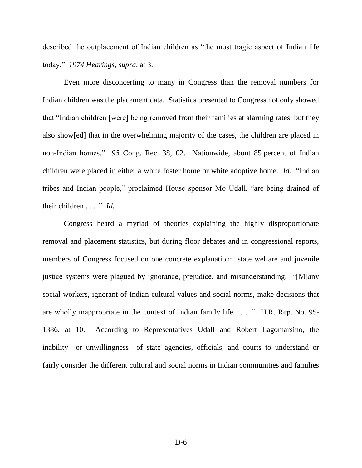described the outplacement of Indian children as "the most tragic aspect of Indian life today." *1974 Hearings*, *supra*, at 3.

Even more disconcerting to many in Congress than the removal numbers for Indian children was the placement data. Statistics presented to Congress not only showed that "Indian children [were] being removed from their families at alarming rates, but they also show[ed] that in the overwhelming majority of the cases, the children are placed in non-Indian homes." 95 Cong. Rec. 38,102. Nationwide, about 85 percent of Indian children were placed in either a white foster home or white adoptive home. *Id*. "Indian tribes and Indian people," proclaimed House sponsor Mo Udall, "are being drained of their children . . . ." *Id.*

Congress heard a myriad of theories explaining the highly disproportionate removal and placement statistics, but during floor debates and in congressional reports, members of Congress focused on one concrete explanation: state welfare and juvenile justice systems were plagued by ignorance, prejudice, and misunderstanding. "[M]any social workers, ignorant of Indian cultural values and social norms, make decisions that are wholly inappropriate in the context of Indian family life . . . ." H.R. Rep. No. 95- 1386, at 10. According to Representatives Udall and Robert Lagomarsino, the inability—or unwillingness—of state agencies, officials, and courts to understand or fairly consider the different cultural and social norms in Indian communities and families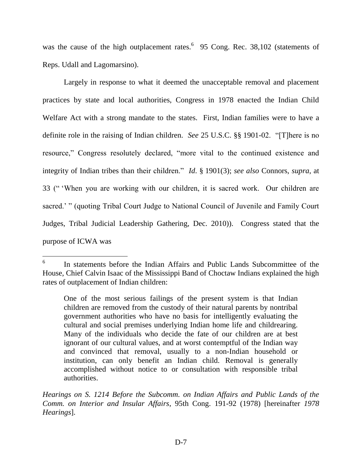was the cause of the high outplacement rates. $6\quad 95$  Cong. Rec. 38,102 (statements of Reps. Udall and Lagomarsino).

Largely in response to what it deemed the unacceptable removal and placement practices by state and local authorities, Congress in 1978 enacted the Indian Child Welfare Act with a strong mandate to the states. First, Indian families were to have a definite role in the raising of Indian children. *See* 25 U.S.C. §§ 1901-02. "[T]here is no resource," Congress resolutely declared, "more vital to the continued existence and integrity of Indian tribes than their children." *Id*. § 1901(3); *see also* Connors, *supra*, at 33 (" 'When you are working with our children, it is sacred work. Our children are sacred.' " (quoting Tribal Court Judge to National Council of Juvenile and Family Court Judges, Tribal Judicial Leadership Gathering, Dec. 2010)). Congress stated that the purpose of ICWA was

 $\overline{a}$ 

<sup>6</sup> In statements before the Indian Affairs and Public Lands Subcommittee of the House, Chief Calvin Isaac of the Mississippi Band of Choctaw Indians explained the high rates of outplacement of Indian children:

One of the most serious failings of the present system is that Indian children are removed from the custody of their natural parents by nontribal government authorities who have no basis for intelligently evaluating the cultural and social premises underlying Indian home life and childrearing. Many of the individuals who decide the fate of our children are at best ignorant of our cultural values, and at worst contemptful of the Indian way and convinced that removal, usually to a non-Indian household or institution, can only benefit an Indian child. Removal is generally accomplished without notice to or consultation with responsible tribal authorities.

*Hearings on S. 1214 Before the Subcomm. on Indian Affairs and Public Lands of the Comm. on Interior and Insular Affairs*, 95th Cong. 191-92 (1978) [hereinafter *1978 Hearings*].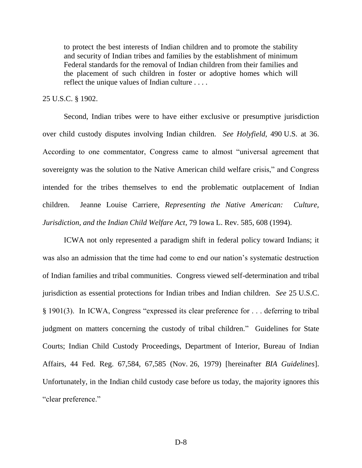to protect the best interests of Indian children and to promote the stability and security of Indian tribes and families by the establishment of minimum Federal standards for the removal of Indian children from their families and the placement of such children in foster or adoptive homes which will reflect the unique values of Indian culture . . . .

## 25 U.S.C. § 1902.

Second, Indian tribes were to have either exclusive or presumptive jurisdiction over child custody disputes involving Indian children. *See Holyfield*, 490 U.S. at 36. According to one commentator, Congress came to almost "universal agreement that sovereignty was the solution to the Native American child welfare crisis," and Congress intended for the tribes themselves to end the problematic outplacement of Indian children. Jeanne Louise Carriere, *Representing the Native American: Culture, Jurisdiction, and the Indian Child Welfare Act*, 79 Iowa L. Rev. 585, 608 (1994).

ICWA not only represented a paradigm shift in federal policy toward Indians; it was also an admission that the time had come to end our nation's systematic destruction of Indian families and tribal communities. Congress viewed self-determination and tribal jurisdiction as essential protections for Indian tribes and Indian children. *See* 25 U.S.C. § 1901(3). In ICWA, Congress "expressed its clear preference for . . . deferring to tribal judgment on matters concerning the custody of tribal children." Guidelines for State Courts; Indian Child Custody Proceedings, Department of Interior, Bureau of Indian Affairs, 44 Fed. Reg. 67,584, 67,585 (Nov. 26, 1979) [hereinafter *BIA Guidelines*]. Unfortunately, in the Indian child custody case before us today, the majority ignores this "clear preference."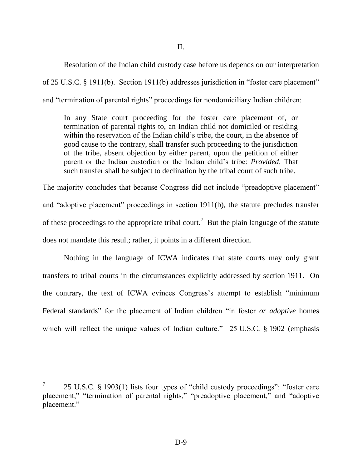Resolution of the Indian child custody case before us depends on our interpretation of 25 U.S.C. § 1911(b). Section 1911(b) addresses jurisdiction in "foster care placement" and "termination of parental rights" proceedings for nondomiciliary Indian children:

In any State court proceeding for the foster care placement of, or termination of parental rights to, an Indian child not domiciled or residing within the reservation of the Indian child's tribe, the court, in the absence of good cause to the contrary, shall transfer such proceeding to the jurisdiction of the tribe, absent objection by either parent, upon the petition of either parent or the Indian custodian or the Indian child's tribe: *Provided*, That such transfer shall be subject to declination by the tribal court of such tribe.

The majority concludes that because Congress did not include "preadoptive placement" and "adoptive placement" proceedings in section 1911(b), the statute precludes transfer of these proceedings to the appropriate tribal court.<sup>7</sup> But the plain language of the statute does not mandate this result; rather, it points in a different direction.

Nothing in the language of ICWA indicates that state courts may only grant transfers to tribal courts in the circumstances explicitly addressed by section 1911. On the contrary, the text of ICWA evinces Congress's attempt to establish "minimum Federal standards" for the placement of Indian children "in foster *or adoptive* homes which will reflect the unique values of Indian culture." 25 U.S.C. § 1902 (emphasis

 $\overline{a}$ 

<sup>7</sup> 25 U.S.C. § 1903(1) lists four types of "child custody proceedings": "foster care placement," "termination of parental rights," "preadoptive placement," and "adoptive placement."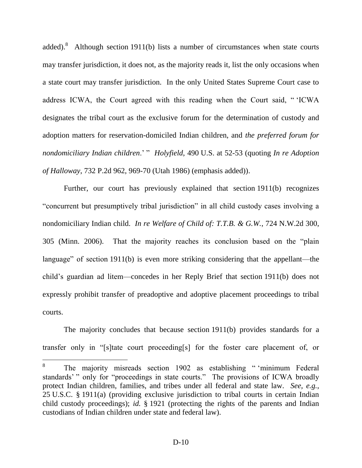added). Although section 1911(b) lists a number of circumstances when state courts may transfer jurisdiction, it does not, as the majority reads it, list the only occasions when a state court may transfer jurisdiction. In the only United States Supreme Court case to address ICWA, the Court agreed with this reading when the Court said, " 'ICWA designates the tribal court as the exclusive forum for the determination of custody and adoption matters for reservation-domiciled Indian children, and *the preferred forum for nondomiciliary Indian children*.' " *Holyfield*, 490 U.S. at 52-53 (quoting *In re Adoption of Halloway*, 732 P.2d 962, 969-70 (Utah 1986) (emphasis added)).

Further, our court has previously explained that section 1911(b) recognizes "concurrent but presumptively tribal jurisdiction" in all child custody cases involving a nondomiciliary Indian child. *In re Welfare of Child of: T.T.B. & G.W.*, 724 N.W.2d 300, 305 (Minn. 2006). That the majority reaches its conclusion based on the "plain language" of section 1911(b) is even more striking considering that the appellant—the child's guardian ad litem—concedes in her Reply Brief that section 1911(b) does not expressly prohibit transfer of preadoptive and adoptive placement proceedings to tribal courts.

The majority concludes that because section 1911(b) provides standards for a transfer only in "[s]tate court proceeding[s] for the foster care placement of, or

<sup>8</sup> The majority misreads section 1902 as establishing " 'minimum Federal standards' " only for "proceedings in state courts." The provisions of ICWA broadly protect Indian children, families, and tribes under all federal and state law. *See, e.g.*, 25 U.S.C. § 1911(a) (providing exclusive jurisdiction to tribal courts in certain Indian child custody proceedings); *id.* § 1921 (protecting the rights of the parents and Indian custodians of Indian children under state and federal law).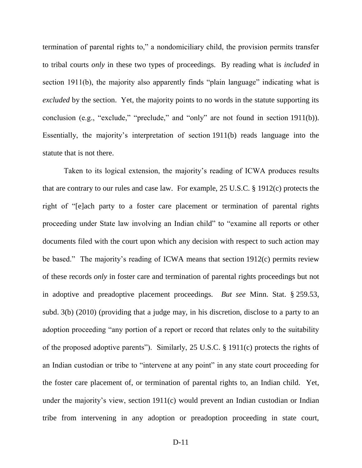termination of parental rights to," a nondomiciliary child, the provision permits transfer to tribal courts *only* in these two types of proceedings. By reading what is *included* in section 1911(b), the majority also apparently finds "plain language" indicating what is *excluded* by the section. Yet, the majority points to no words in the statute supporting its conclusion (e.g., "exclude," "preclude," and "only" are not found in section 1911(b)). Essentially, the majority's interpretation of section 1911(b) reads language into the statute that is not there.

Taken to its logical extension, the majority's reading of ICWA produces results that are contrary to our rules and case law. For example, 25 U.S.C. § 1912(c) protects the right of "[e]ach party to a foster care placement or termination of parental rights proceeding under State law involving an Indian child" to "examine all reports or other documents filed with the court upon which any decision with respect to such action may be based." The majority's reading of ICWA means that section 1912(c) permits review of these records *only* in foster care and termination of parental rights proceedings but not in adoptive and preadoptive placement proceedings. *But see* Minn. Stat. § 259.53, subd. 3(b) (2010) (providing that a judge may, in his discretion, disclose to a party to an adoption proceeding "any portion of a report or record that relates only to the suitability of the proposed adoptive parents"). Similarly, 25 U.S.C. § 1911(c) protects the rights of an Indian custodian or tribe to "intervene at any point" in any state court proceeding for the foster care placement of, or termination of parental rights to, an Indian child. Yet, under the majority's view, section 1911(c) would prevent an Indian custodian or Indian tribe from intervening in any adoption or preadoption proceeding in state court,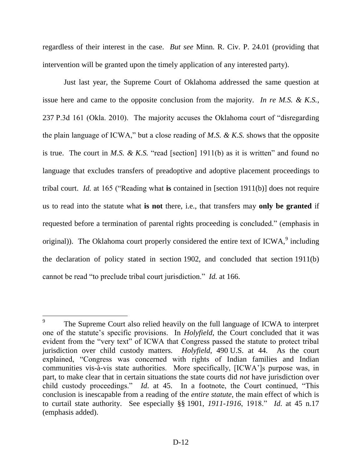regardless of their interest in the case. *But see* Minn. R. Civ. P. 24.01 (providing that intervention will be granted upon the timely application of any interested party).

Just last year, the Supreme Court of Oklahoma addressed the same question at issue here and came to the opposite conclusion from the majority. *In re M.S. & K.S.*, 237 P.3d 161 (Okla. 2010). The majority accuses the Oklahoma court of "disregarding the plain language of ICWA," but a close reading of *M.S. & K.S.* shows that the opposite is true. The court in *M.S. & K.S.* "read [section] 1911(b) as it is written" and found no language that excludes transfers of preadoptive and adoptive placement proceedings to tribal court. *Id.* at 165 ("Reading what **is** contained in [section 1911(b)] does not require us to read into the statute what **is not** there, i.e., that transfers may **only be granted** if requested before a termination of parental rights proceeding is concluded." (emphasis in original)). The Oklahoma court properly considered the entire text of ICWA, $^9$  including the declaration of policy stated in section 1902, and concluded that section 1911(b) cannot be read "to preclude tribal court jurisdiction." *Id.* at 166.

<sup>9</sup> The Supreme Court also relied heavily on the full language of ICWA to interpret one of the statute's specific provisions. In *Holyfield*, the Court concluded that it was evident from the "very text" of ICWA that Congress passed the statute to protect tribal jurisdiction over child custody matters. *Holyfield*, 490 U.S. at 44. As the court explained, "Congress was concerned with rights of Indian families and Indian communities vis-à-vis state authorities. More specifically, [ICWA']s purpose was, in part, to make clear that in certain situations the state courts did *not* have jurisdiction over child custody proceedings." *Id*. at 45. In a footnote, the Court continued, "This conclusion is inescapable from a reading of the *entire statute*, the main effect of which is to curtail state authority. See especially §§ 1901, *1911-1916*, 1918." *Id*. at 45 n.17 (emphasis added).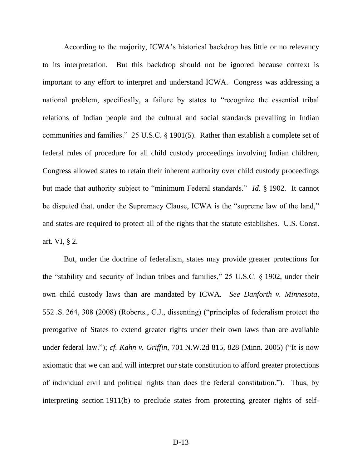According to the majority, ICWA's historical backdrop has little or no relevancy to its interpretation. But this backdrop should not be ignored because context is important to any effort to interpret and understand ICWA. Congress was addressing a national problem, specifically, a failure by states to "recognize the essential tribal relations of Indian people and the cultural and social standards prevailing in Indian communities and families." 25 U.S.C. § 1901(5). Rather than establish a complete set of federal rules of procedure for all child custody proceedings involving Indian children, Congress allowed states to retain their inherent authority over child custody proceedings but made that authority subject to "minimum Federal standards." *Id*. § 1902. It cannot be disputed that, under the Supremacy Clause, ICWA is the "supreme law of the land," and states are required to protect all of the rights that the statute establishes. U.S. Const. art. VI, § 2.

But, under the doctrine of federalism, states may provide greater protections for the "stability and security of Indian tribes and families," 25 U.S.C. § 1902, under their own child custody laws than are mandated by ICWA. *See Danforth v. Minnesota*, 552 .S. 264, 308 (2008) (Roberts., C.J., dissenting) ("principles of federalism protect the prerogative of States to extend greater rights under their own laws than are available under federal law."); *cf. Kahn v. Griffin*, 701 N.W.2d 815, 828 (Minn. 2005) ("It is now axiomatic that we can and will interpret our state constitution to afford greater protections of individual civil and political rights than does the federal constitution."). Thus, by interpreting section 1911(b) to preclude states from protecting greater rights of self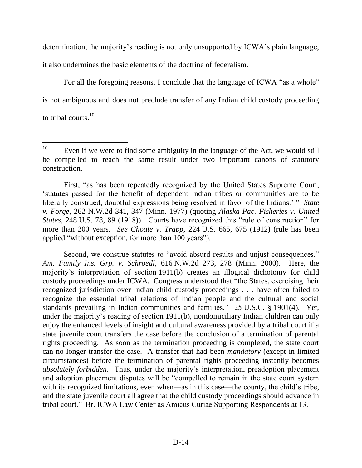determination, the majority's reading is not only unsupported by ICWA's plain language,

it also undermines the basic elements of the doctrine of federalism.

For all the foregoing reasons, I conclude that the language of ICWA "as a whole" is not ambiguous and does not preclude transfer of any Indian child custody proceeding to tribal courts.<sup>10</sup>

First, "as has been repeatedly recognized by the United States Supreme Court, 'statutes passed for the benefit of dependent Indian tribes or communities are to be liberally construed, doubtful expressions being resolved in favor of the Indians.' " *State v. Forge*, 262 N.W.2d 341, 347 (Minn. 1977) (quoting *Alaska Pac. Fisheries v. United States*, 248 U.S. 78, 89 (1918)). Courts have recognized this "rule of construction" for more than 200 years. *See Choate v. Trapp*, 224 U.S. 665, 675 (1912) (rule has been applied "without exception, for more than 100 years").

Second, we construe statutes to "avoid absurd results and unjust consequences." *Am. Family Ins. Grp. v. Schroedl*, 616 N.W.2d 273, 278 (Minn. 2000). Here, the majority's interpretation of section 1911(b) creates an illogical dichotomy for child custody proceedings under ICWA. Congress understood that "the States, exercising their recognized jurisdiction over Indian child custody proceedings . . . have often failed to recognize the essential tribal relations of Indian people and the cultural and social standards prevailing in Indian communities and families." 25 U.S.C. § 1901(4). Yet, under the majority's reading of section 1911(b), nondomiciliary Indian children can only enjoy the enhanced levels of insight and cultural awareness provided by a tribal court if a state juvenile court transfers the case before the conclusion of a termination of parental rights proceeding. As soon as the termination proceeding is completed, the state court can no longer transfer the case. A transfer that had been *mandatory* (except in limited circumstances) before the termination of parental rights proceeding instantly becomes *absolutely forbidden*. Thus, under the majority's interpretation, preadoption placement and adoption placement disputes will be "compelled to remain in the state court system with its recognized limitations, even when—as in this case—the county, the child's tribe, and the state juvenile court all agree that the child custody proceedings should advance in tribal court." Br. ICWA Law Center as Amicus Curiae Supporting Respondents at 13.

 $10\,$ Even if we were to find some ambiguity in the language of the Act, we would still be compelled to reach the same result under two important canons of statutory construction.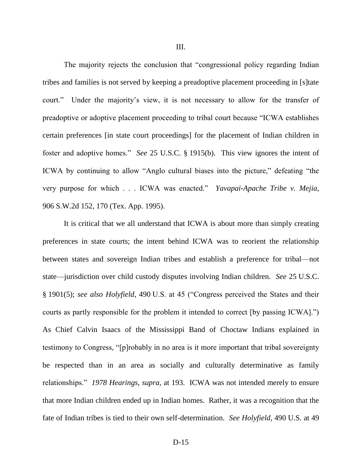The majority rejects the conclusion that "congressional policy regarding Indian tribes and families is not served by keeping a preadoptive placement proceeding in [s]tate court." Under the majority's view, it is not necessary to allow for the transfer of preadoptive or adoptive placement proceeding to tribal court because "ICWA establishes certain preferences [in state court proceedings] for the placement of Indian children in foster and adoptive homes." *See* 25 U.S.C. § 1915(b). This view ignores the intent of ICWA by continuing to allow "Anglo cultural biases into the picture," defeating "the very purpose for which . . . ICWA was enacted." *Yavapai-Apache Tribe v. Mejia*, 906 S.W.2d 152, 170 (Tex. App. 1995).

It is critical that we all understand that ICWA is about more than simply creating preferences in state courts; the intent behind ICWA was to reorient the relationship between states and sovereign Indian tribes and establish a preference for tribal—not state—jurisdiction over child custody disputes involving Indian children. *See* 25 U.S.C. § 1901(5); *see also Holyfield*, 490 U.S. at 45 ("Congress perceived the States and their courts as partly responsible for the problem it intended to correct [by passing ICWA].") As Chief Calvin Isaacs of the Mississippi Band of Choctaw Indians explained in testimony to Congress, "[p]robably in no area is it more important that tribal sovereignty be respected than in an area as socially and culturally determinative as family relationships." *1978 Hearings*, *supra*, at 193. ICWA was not intended merely to ensure that more Indian children ended up in Indian homes. Rather, it was a recognition that the fate of Indian tribes is tied to their own self-determination. *See Holyfield*, 490 U.S. at 49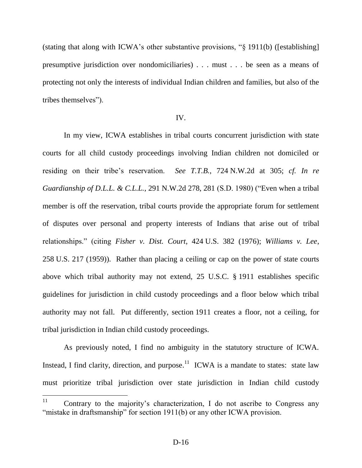(stating that along with ICWA's other substantive provisions, "§ 1911(b) ([establishing] presumptive jurisdiction over nondomiciliaries) . . . must . . . be seen as a means of protecting not only the interests of individual Indian children and families, but also of the tribes themselves").

### IV.

In my view, ICWA establishes in tribal courts concurrent jurisdiction with state courts for all child custody proceedings involving Indian children not domiciled or residing on their tribe's reservation. *See T.T.B.*, 724 N.W.2d at 305; *cf. In re Guardianship of D.L.L. & C.L.L.*, 291 N.W.2d 278, 281 (S.D. 1980) ("Even when a tribal member is off the reservation, tribal courts provide the appropriate forum for settlement of disputes over personal and property interests of Indians that arise out of tribal relationships." (citing *Fisher v. Dist. Court*, 424 U.S. 382 (1976); *Williams v. Lee*, 258 U.S. 217 (1959)). Rather than placing a ceiling or cap on the power of state courts above which tribal authority may not extend, 25 U.S.C. § 1911 establishes specific guidelines for jurisdiction in child custody proceedings and a floor below which tribal authority may not fall. Put differently, section 1911 creates a floor, not a ceiling, for tribal jurisdiction in Indian child custody proceedings.

As previously noted, I find no ambiguity in the statutory structure of ICWA. Instead, I find clarity, direction, and purpose.<sup>11</sup> ICWA is a mandate to states: state law must prioritize tribal jurisdiction over state jurisdiction in Indian child custody

<sup>&</sup>lt;sup>11</sup> Contrary to the majority's characterization, I do not ascribe to Congress any "mistake in draftsmanship" for section 1911(b) or any other ICWA provision.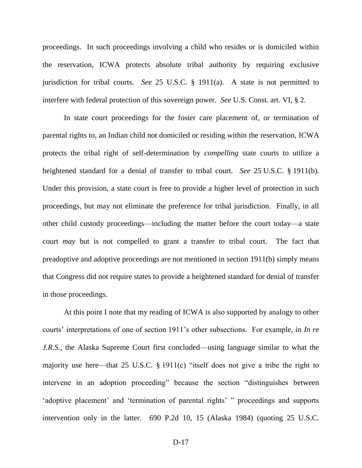proceedings. In such proceedings involving a child who resides or is domiciled within the reservation, ICWA protects absolute tribal authority by requiring exclusive jurisdiction for tribal courts. *See* 25 U.S.C. § 1911(a). A state is not permitted to interfere with federal protection of this sovereign power. *See* U.S. Const. art. VI, § 2.

In state court proceedings for the foster care placement of, or termination of parental rights to, an Indian child not domiciled or residing within the reservation, ICWA protects the tribal right of self-determination by *compelling* state courts to utilize a heightened standard for a denial of transfer to tribal court. *See* 25 U.S.C. § 1911(b). Under this provision, a state court is free to provide a higher level of protection in such proceedings, but may not eliminate the preference for tribal jurisdiction. Finally, in all other child custody proceedings—including the matter before the court today—a state court *may* but is not compelled to grant a transfer to tribal court. The fact that preadoptive and adoptive proceedings are not mentioned in section 1911(b) simply means that Congress did not require states to provide a heightened standard for denial of transfer in those proceedings.

At this point I note that my reading of ICWA is also supported by analogy to other courts' interpretations of one of section 1911's other subsections. For example, in *In re J.R.S.*, the Alaska Supreme Court first concluded—using language similar to what the majority use here—that 25 U.S.C. § 1911(c) "itself does not give a tribe the right to intervene in an adoption proceeding" because the section "distinguishes between 'adoptive placement' and 'termination of parental rights' " proceedings and supports intervention only in the latter. 690 P.2d 10, 15 (Alaska 1984) (quoting 25 U.S.C.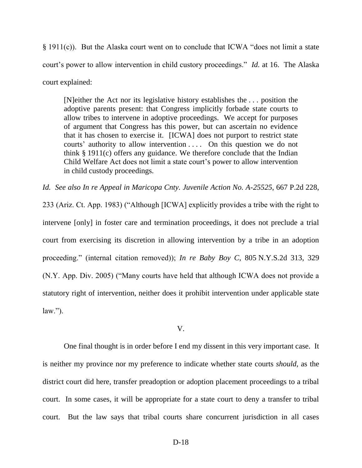§ 1911(c)). But the Alaska court went on to conclude that ICWA "does not limit a state court's power to allow intervention in child custory proceedings." *Id.* at 16. The Alaska court explained:

[N]either the Act nor its legislative history establishes the . . . position the adoptive parents present: that Congress implicitly forbade state courts to allow tribes to intervene in adoptive proceedings. We accept for purposes of argument that Congress has this power, but can ascertain no evidence that it has chosen to exercise it. [ICWA] does not purport to restrict state courts' authority to allow intervention . . . . On this question we do not think § 1911(c) offers any guidance. We therefore conclude that the Indian Child Welfare Act does not limit a state court's power to allow intervention in child custody proceedings.

*Id. See also In re Appeal in Maricopa Cnty. Juvenile Action No. A-25525*, 667 P.2d 228, 233 (Ariz. Ct. App. 1983) ("Although [ICWA] explicitly provides a tribe with the right to intervene [only] in foster care and termination proceedings, it does not preclude a trial court from exercising its discretion in allowing intervention by a tribe in an adoption proceeding." (internal citation removed)); *In re Baby Boy C*, 805 N.Y.S.2d 313, 329 (N.Y. App. Div. 2005) ("Many courts have held that although ICWA does not provide a statutory right of intervention, neither does it prohibit intervention under applicable state  $law.'$ ).

## V.

One final thought is in order before I end my dissent in this very important case. It is neither my province nor my preference to indicate whether state courts *should*, as the district court did here, transfer preadoption or adoption placement proceedings to a tribal court. In some cases, it will be appropriate for a state court to deny a transfer to tribal court. But the law says that tribal courts share concurrent jurisdiction in all cases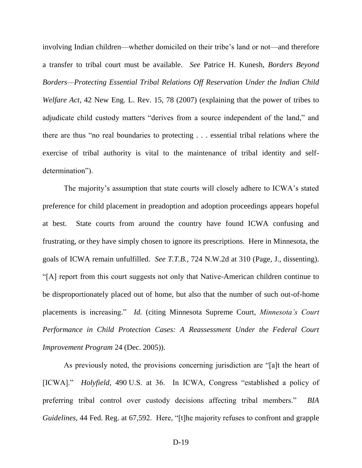involving Indian children—whether domiciled on their tribe's land or not—and therefore a transfer to tribal court must be available. *See* Patrice H. Kunesh, *Borders Beyond Borders—Protecting Essential Tribal Relations Off Reservation Under the Indian Child Welfare Act*, 42 New Eng. L. Rev. 15, 78 (2007) (explaining that the power of tribes to adjudicate child custody matters "derives from a source independent of the land," and there are thus "no real boundaries to protecting . . . essential tribal relations where the exercise of tribal authority is vital to the maintenance of tribal identity and selfdetermination").

The majority's assumption that state courts will closely adhere to ICWA's stated preference for child placement in preadoption and adoption proceedings appears hopeful at best. State courts from around the country have found ICWA confusing and frustrating, or they have simply chosen to ignore its prescriptions. Here in Minnesota, the goals of ICWA remain unfulfilled. *See T.T.B.*, 724 N.W.2d at 310 (Page, J., dissenting). "[A] report from this court suggests not only that Native-American children continue to be disproportionately placed out of home, but also that the number of such out-of-home placements is increasing." *Id.* (citing Minnesota Supreme Court, *Minnesota's Court Performance in Child Protection Cases: A Reassessment Under the Federal Court Improvement Program* 24 (Dec. 2005)).

As previously noted, the provisions concerning jurisdiction are "[a]t the heart of [ICWA]." *Holyfield*, 490 U.S. at 36. In ICWA, Congress "established a policy of preferring tribal control over custody decisions affecting tribal members." *BIA Guidelines*, 44 Fed. Reg. at 67,592. Here, "[t]he majority refuses to confront and grapple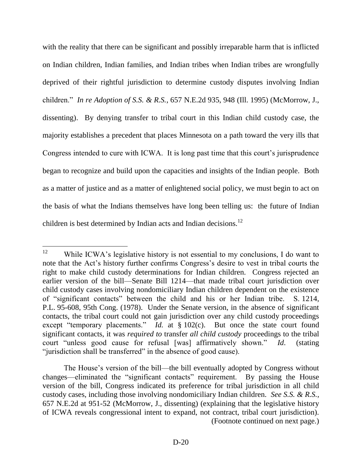with the reality that there can be significant and possibly irreparable harm that is inflicted on Indian children, Indian families, and Indian tribes when Indian tribes are wrongfully deprived of their rightful jurisdiction to determine custody disputes involving Indian children." *In re Adoption of S.S. & R.S.*, 657 N.E.2d 935, 948 (Ill. 1995) (McMorrow, J., dissenting). By denying transfer to tribal court in this Indian child custody case, the majority establishes a precedent that places Minnesota on a path toward the very ills that Congress intended to cure with ICWA. It is long past time that this court's jurisprudence began to recognize and build upon the capacities and insights of the Indian people. Both as a matter of justice and as a matter of enlightened social policy, we must begin to act on the basis of what the Indians themselves have long been telling us: the future of Indian children is best determined by Indian acts and Indian decisions.<sup>12</sup>

<sup>12</sup> While ICWA's legislative history is not essential to my conclusions, I do want to note that the Act's history further confirms Congress's desire to vest in tribal courts the right to make child custody determinations for Indian children. Congress rejected an earlier version of the bill—Senate Bill 1214—that made tribal court jurisdiction over child custody cases involving nondomiciliary Indian children dependent on the existence of "significant contacts" between the child and his or her Indian tribe. S. 1214, P.L. 95-608, 95th Cong. (1978). Under the Senate version, in the absence of significant contacts, the tribal court could not gain jurisdiction over any child custody proceedings except "temporary placements." *Id.* at § 102(c). But once the state court found significant contacts, it was *required to* transfer *all child custody* proceedings to the tribal court "unless good cause for refusal [was] affirmatively shown." *Id*. (stating "jurisdiction shall be transferred" in the absence of good cause).

The House's version of the bill—the bill eventually adopted by Congress without changes—eliminated the "significant contacts" requirement. By passing the House version of the bill, Congress indicated its preference for tribal jurisdiction in all child custody cases, including those involving nondomiciliary Indian children. *See S.S. & R.S.*, 657 N.E.2d at 951-52 (McMorrow, J., dissenting) (explaining that the legislative history of ICWA reveals congressional intent to expand, not contract, tribal court jurisdiction). (Footnote continued on next page.)